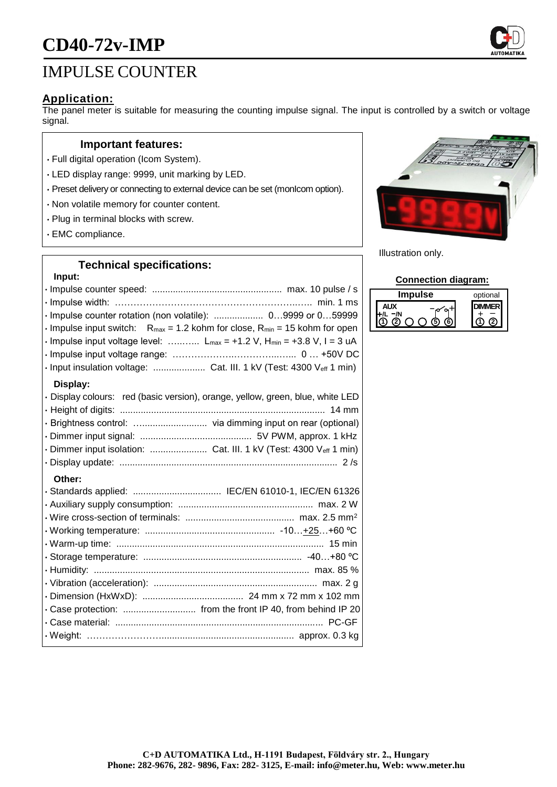# **CD40-72v-IMP**

# IMPULSE COUNTER

#### **Application:**

The panel meter is suitable for measuring the counting impulse signal. The input is controlled by a switch or voltage signal.

#### **Important features:**

- Full digital operation (Icom System).
- LED display range: 9999, unit marking by LED.
- Preset delivery or connecting to external device can be set (monIcom option).
- Non volatile memory for counter content.
- Plug in terminal blocks with screw.
- EMC compliance.

#### **Technical specifications:**

## **Input:**

| · Impulse counter rotation (non volatile):  09999 or 059999                                                       |
|-------------------------------------------------------------------------------------------------------------------|
| $\cdot$ Impulse input switch: R <sub>max</sub> = 1.2 kohm for close, R <sub>min</sub> = 15 kohm for open          |
| $\cdot$ Impulse input voltage level: $L_{max} = +1.2 \text{ V}$ , $H_{min} = +3.8 \text{ V}$ , $I = 3 \text{ uA}$ |
|                                                                                                                   |
| · Input insulation voltage:  Cat. III. 1 kV (Test: 4300 Veff 1 min)                                               |
| Display:                                                                                                          |
| · Display colours: red (basic version), orange, yellow, green, blue, white LED                                    |
|                                                                                                                   |
| · Brightness control:  via dimming input on rear (optional)                                                       |
|                                                                                                                   |
| · Dimmer input isolation:  Cat. III. 1 kV (Test: 4300 Veff 1 min)                                                 |
|                                                                                                                   |
| Other:                                                                                                            |
|                                                                                                                   |
|                                                                                                                   |
|                                                                                                                   |
|                                                                                                                   |
|                                                                                                                   |
|                                                                                                                   |
|                                                                                                                   |
|                                                                                                                   |
|                                                                                                                   |
| · Case protection:  from the front IP 40, from behind IP 20                                                       |
|                                                                                                                   |
|                                                                                                                   |
|                                                                                                                   |



Illustration only.

#### **Connection diagram:**

| mpulse | optional |
|--------|----------|
|        |          |